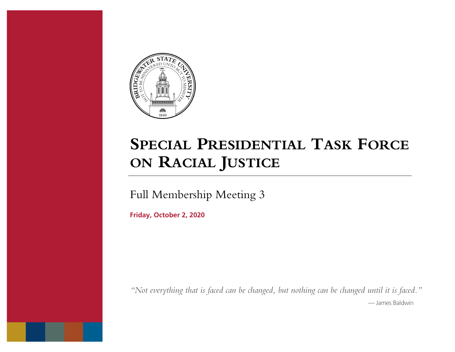

# **SPECIAL PRESIDENTIAL TASK FORCE ON RACIAL JUSTICE**

Full Membership Meeting 3

 **Friday, October 2, 2020** 

 *"Not everything that is faced can be changed, but nothing can be changed until it is faced."*  — James Baldwin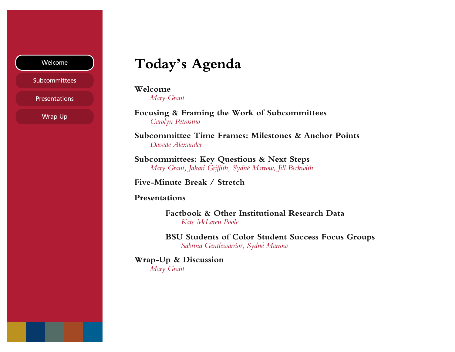## Welcome

**Subcommittees** 

Presentations

- Wrap Up

# **Today's Agenda**

**Welcome** 

*Mary Grant* 

 **Focusing & Framing the Work of Subcommittees**  *Carolyn Petrosino* 

 **Subcommittee Time Frames: Milestones & Anchor Points**  *Davede Alexander* 

 **Subcommittees: Key Questions & Next Steps**   *Mary Grant, Jakari Griffith, Sydné Marrow, Jill Beckwith* 

**Five-Minute Break / Stretch** 

## **Presentations**

 **Factbook & Other Institutional Research Data**  *Kate McLaren Poole* 

 **BSU Students of Color Student Success Focus Groups**  *Sabrina Gentlewarrior, Sydné Marrow* 

**Wrap-Up & Discussion**  *Mary Grant*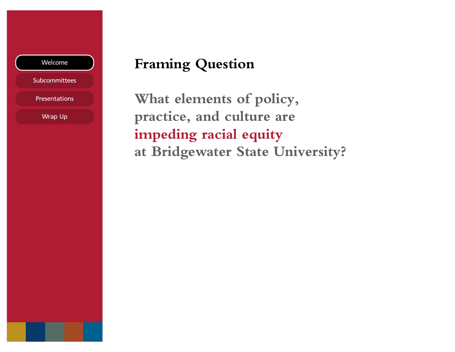## Welcome

**Subcommittees** 

Presentations

- Wrap Up

# **Framing Question**

 **What elements of policy, impeding racial equity practice, and culture are at Bridgewater State University?**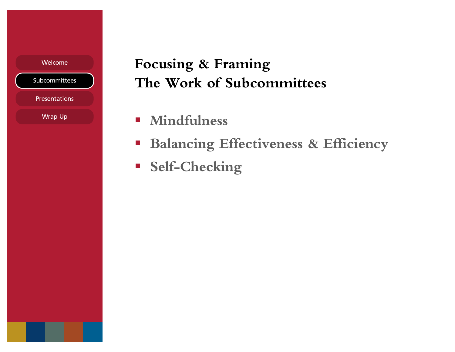Presentations

- Wrap Up

# Welcome **Focusing & Framing The Work of Subcommittees**

- **Mindfulness**
- **Balancing Effectiveness & Efficiency**
- **Self-Checking**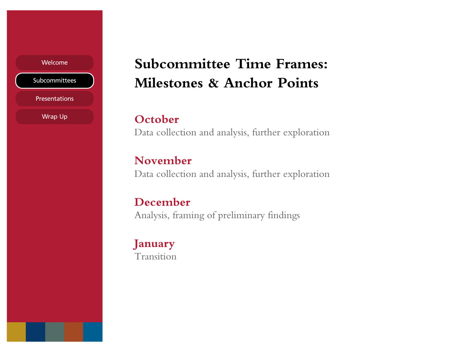**Presentations** 

- Wrap Up

# Welcome **Subcommittee Time Frames: Milestones & Anchor Points**

# **October**

Data collection and analysis, further exploration

# **November**

Data collection and analysis, further exploration

# **December**

Analysis, framing of preliminary findings

# **January**  Transition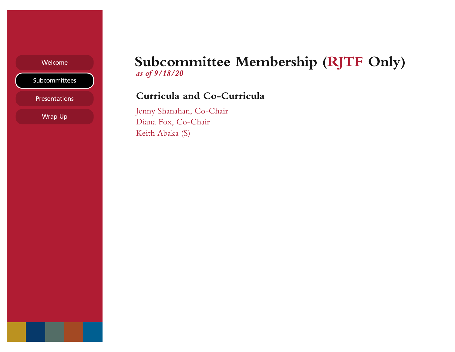Presentations

Wrap Up

# Welcome **Subcommittee Membership (RJTF Only)**  *as of 9/18/20*

## **Curricula and Co-Curricula**

 - Jenny Shanahan, Co-Chair Diana Fox, Co-Chair Keith Abaka (S)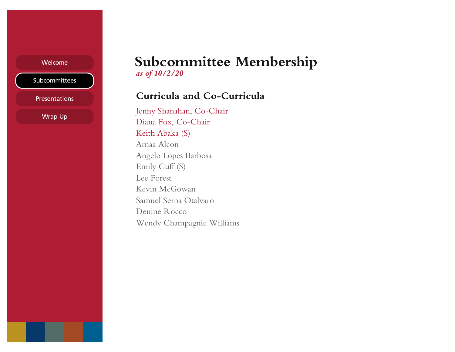**Presentations** 

- Wrap Up

# Welcome **Subcommittee Membership**  *as of 10/2/20*

## **Curricula and Co-Curricula**

 Jenny Shanahan, Co-Chair Angelo Lopes Barbosa Diana Fox, Co-Chair Keith Abaka (S) Arnaa Alcon Emily Cuff (S) Lee Forest Kevin McGowan Samuel Serna Otalvaro Denine Rocco Wendy Champagnie Williams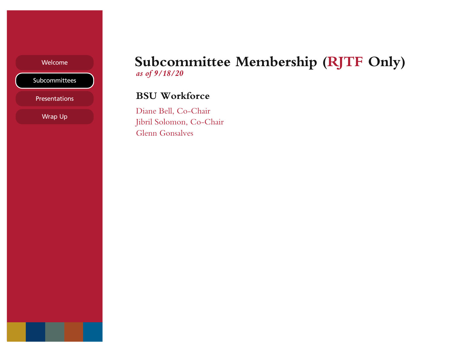Presentations

Wrap Up

# Welcome **Subcommittee Membership (RJTF Only)**  *as of 9/18/20*

## **BSU Workforce**

 - Jibril Solomon, Co-Chair Diane Bell, Co-Chair Glenn Gonsalves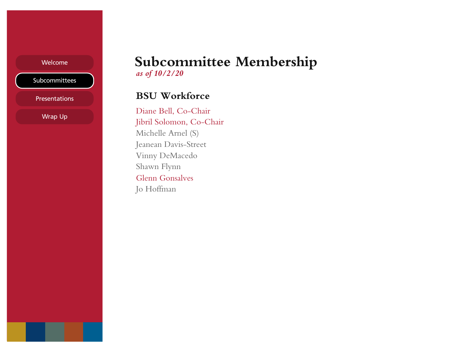Presentations

Wrap Up

# Welcome **Subcommittee Membership**  *as of 10/2/20*

## **BSU Workforce**

 - Jibril Solomon, Co-Chair Diane Bell, Co-Chair Michelle Arnel (S) Jeanean Davis-Street Vinny DeMacedo Shawn Flynn Glenn Gonsalves Jo Hoffman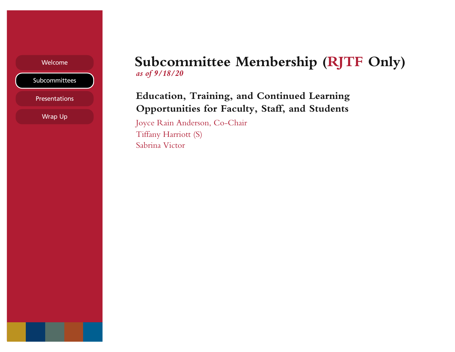**Presentations** 

Wrap Up

# Welcome **Subcommittee Membership (RJTF Only)**  *as of 9/18/20*

# **Opportunities for Faculty, Staff, and Students Education, Training, and Continued Learning**

 - Joyce Rain Anderson, Co-Chair Tiffany Harriott (S) Sabrina Victor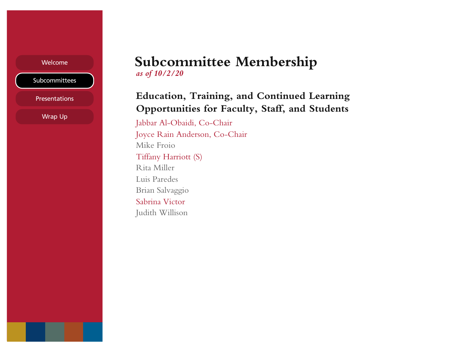**Presentations** 

- Wrap Up

# Welcome **Subcommittee Membership**  *as of 10/2/20*

# **Opportunities for Faculty, Staff, and Students Education, Training, and Continued Learning**

 Joyce Rain Anderson, Co-Chair Jabbar Al-Obaidi, Co-Chair Mike Froio Tiffany Harriott (S) Rita Miller Luis Paredes Brian Salvaggio Sabrina Victor Judith Willison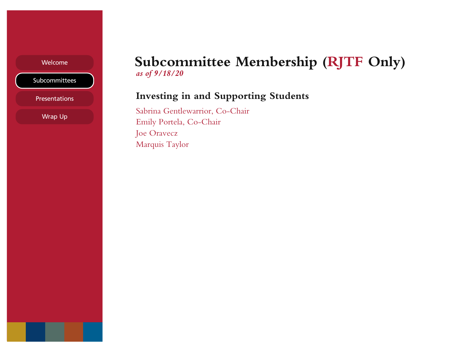Presentations

- Wrap Up

# Welcome **Subcommittee Membership (RJTF Only)**  *as of 9/18/20*

## **Investing in and Supporting Students**

Sabrina Gentlewarrior, Co-Chair Emily Portela, Co-Chair Joe Oravecz Marquis Taylor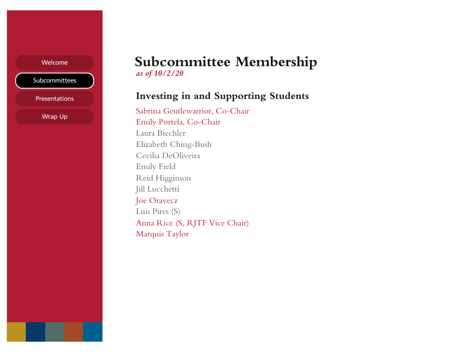**Presentations** 

- Wrap Up

# Welcome **Subcommittee Membership**  *as of 10/2/20*

## **Investing in and Supporting Students**

 Anna Rice (S, RJTF Vice Chair) Sabrina Gentlewarrior, Co-Chair Emily Portela, Co-Chair Laura Biechler Elizabeth Ching-Bush Cecilia DeOliveira Emily Field Reid Higginson Jill Lucchetti Joe Oravecz Luis Pires (S) Marquis Taylor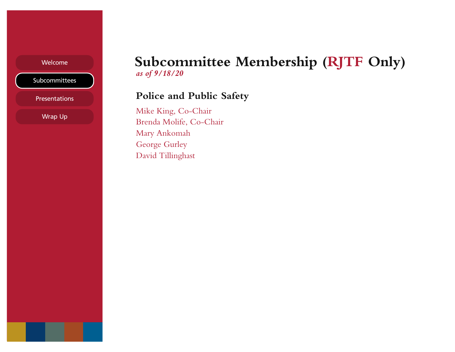Presentations

Wrap Up

# Welcome **Subcommittee Membership (RJTF Only)**  *as of 9/18/20*

## **Police and Public Safety**

 Mike King, Co-Chair - Brenda Molife, Co-Chair Mary Ankomah George Gurley David Tillinghast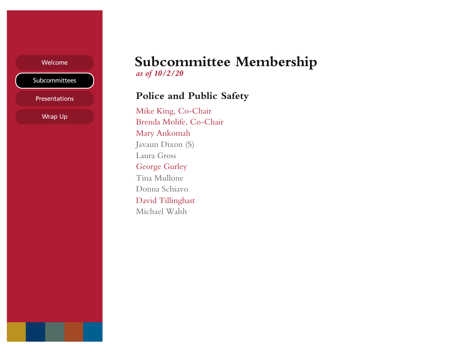Presentations

Wrap Up

# Welcome **Subcommittee Membership**  *as of 10/2/20*

## **Police and Public Safety**

 Mike King, Co-Chair - Brenda Molife, Co-Chair Mary Ankomah Javaun Dixon (S) Laura Gross George Gurley Tina Mullone Donna Schiavo David Tillinghast Michael Walsh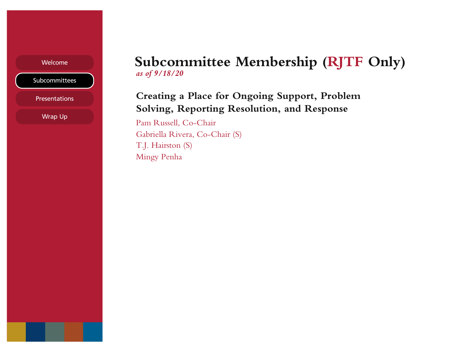**Presentations** 

- Wrap Up

# Welcome **Subcommittee Membership (RJTF Only)**  *as of 9/18/20*

# **Creating a Place for Ongoing Support, Problem Solving, Reporting Resolution, and Response**

 Pam Russell, Co-Chair Gabriella Rivera, Co-Chair (S) T.J. Hairston (S) Mingy Penha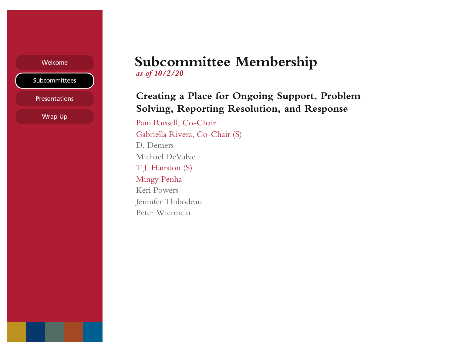**Presentations** 

- Wrap Up

## Welcome **Subcommittee Membership**  *as of 10/2/20*

# **Creating a Place for Ongoing Support, Problem Solving, Reporting Resolution, and Response**

 Pam Russell, Co-Chair Gabriella Rivera, Co-Chair (S) D. Demers Michael DeValve T.J. Hairston (S) Mingy Penha Keri Powers Jennifer Thibodeau Peter Wiernicki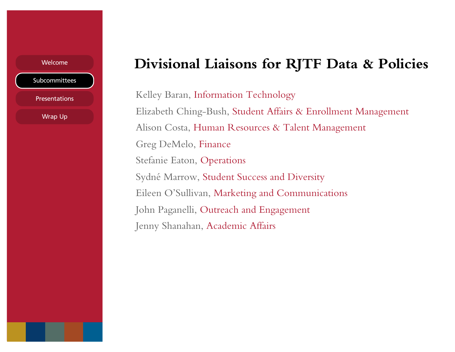**Presentations** 

- Wrap Up

# Welcome **Divisional Liaisons for RJTF Data & Policies**

 Elizabeth Ching-Bush, Student Affairs & Enrollment Management Sydné Marrow, Student Success and Diversity Kelley Baran, Information Technology Alison Costa, Human Resources & Talent Management Greg DeMelo, Finance Stefanie Eaton, Operations Eileen O'Sullivan, Marketing and Communications John Paganelli, Outreach and Engagement Jenny Shanahan, Academic Affairs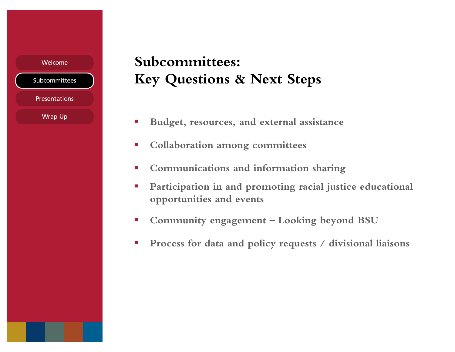**Presentations** 

- Wrap Up

# **Key Questions & Next Steps**  Welcome **Subcommittees:**

- **Budget, resources, and external assistance**
- **Collaboration among committees**
- **Communications and information sharing**
- **Participation in and promoting racial justice educational opportunities and events**
- **Community engagement Looking beyond BSU**
- **Process for data and policy requests / divisional liaisons**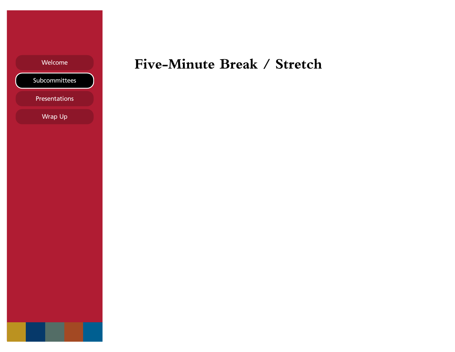Presentations

- Wrap Up

# Welcome **Five-Minute Break / Stretch**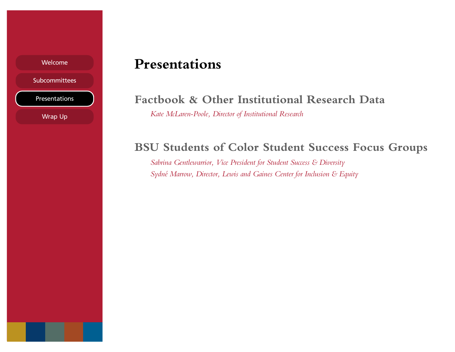## Welcome

**Subcommittees** 

Presentations

Wrap Up

# **Presentations**

# **Factbook & Other Institutional Research Data**

 *Kate McLaren-Poole, Director of Institutional Research* 

# **BSU Students of Color Student Success Focus Groups**

 *Sabrina Gentlewarrior, Vice President for Student Success & Diversity Sydné Marrow, Director, Lewis and Gaines Center for Inclusion & Equity*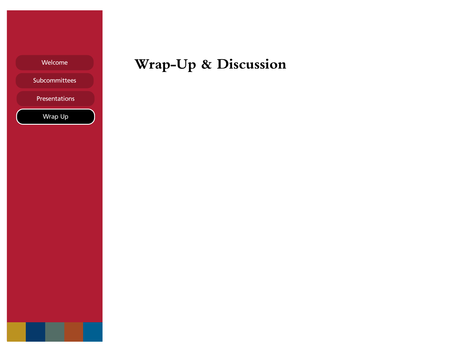| Welcome |  |
|---------|--|
|         |  |
|         |  |

Presentations

- Wrap Up

# **Wrap-Up & Discussion**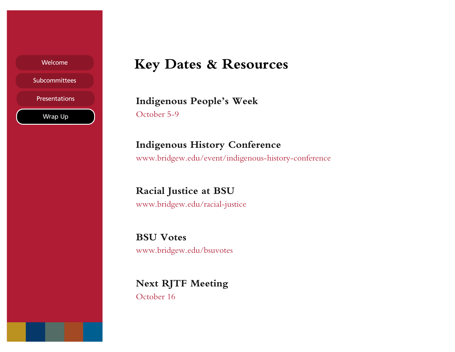

**Presentations** 

- Wrap Up

# **Key Dates & Resources**

**Indigenous People's Week**  October 5-9

# **Indigenous History Conference**

<www.bridgew.edu/event/indigenous-history-conference>

 **Racial Justice at BSU**  <www.bridgew.edu/racial-justice>

**BSU Votes**  <www.bridgew.edu/bsuvotes>

**Next RJTF Meeting**  October 16